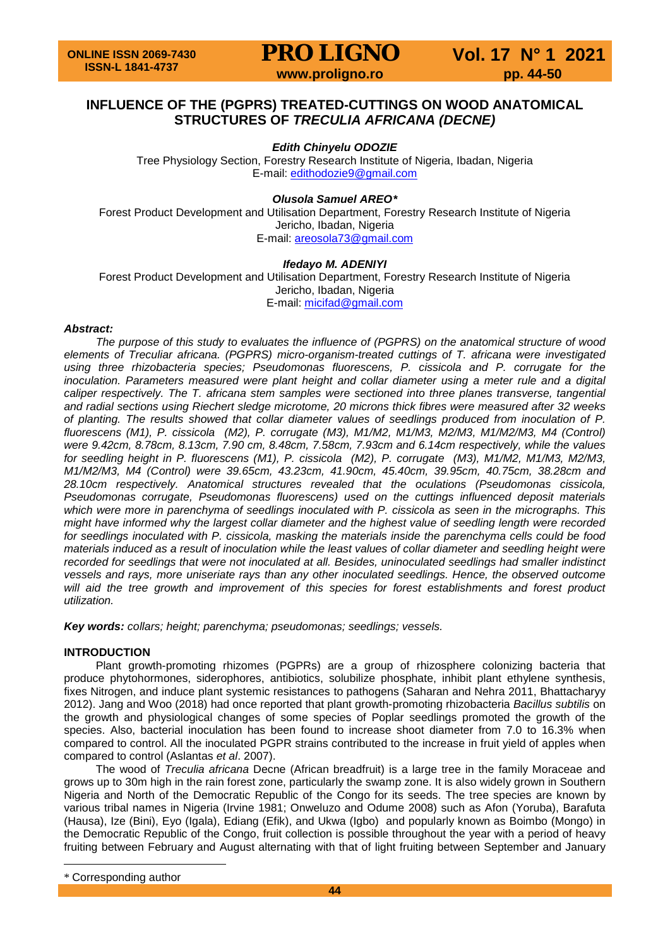**PRO LIGNO** Vol. 17 N° 1 2021

### **INFLUENCE OF THE (PGPRS) TREATED-CUTTINGS ON WOOD ANATOMICAL STRUCTURES OF** *TRECULIA AFRICANA (DECNE)*

*Edith Chinyelu ODOZIE*

Tree Physiology Section, Forestry Research Institute of Nigeria, Ibadan, Nigeria E-mail: [edithodozie9@gmail.com](mailto:edithodozie9@gmail.com)

### *Olusola Samuel AREO[\\*](#page-0-0)*

Forest Product Development and Utilisation Department, Forestry Research Institute of Nigeria Jericho, Ibadan, Nigeria E-mail: [areosola73@gmail.com](mailto:areosola73@gmail.com)

### *Ifedayo M. ADENIYI*

Forest Product Development and Utilisation Department, Forestry Research Institute of Nigeria Jericho, Ibadan, Nigeria E-mail: [micifad@gmail.com](mailto:micifad@gmail.com)

#### *Abstract:*

*The purpose of this study to evaluates the influence of (PGPRS) on the anatomical structure of wood elements of Treculiar africana. (PGPRS) micro-organism-treated cuttings of T. africana were investigated using three rhizobacteria species; Pseudomonas fluorescens, P. cissicola and P. corrugate for the inoculation. Parameters measured were plant height and collar diameter using a meter rule and a digital caliper respectively. The T. africana stem samples were sectioned into three planes transverse, tangential and radial sections using Riechert sledge microtome, 20 microns thick fibres were measured after 32 weeks of planting. The results showed that collar diameter values of seedlings produced from inoculation of P. fluorescens (M1), P. cissicola (M2), P. corrugate (M3), M1/M2, M1/M3, M2/M3, M1/M2/M3, M4 (Control) were 9.42cm, 8.78cm, 8.13cm, 7.90 cm, 8.48cm, 7.58cm, 7.93cm and 6.14cm respectively, while the values for seedling height in P. fluorescens (M1), P. cissicola (M2), P. corrugate (M3), M1/M2, M1/M3, M2/M3, M1/M2/M3, M4 (Control) were 39.65cm, 43.23cm, 41.90cm, 45.40cm, 39.95cm, 40.75cm, 38.28cm and 28.10cm respectively. Anatomical structures revealed that the oculations (Pseudomonas cissicola, Pseudomonas corrugate, Pseudomonas fluorescens) used on the cuttings influenced deposit materials which were more in parenchyma of seedlings inoculated with P. cissicola as seen in the micrographs. This might have informed why the largest collar diameter and the highest value of seedling length were recorded for seedlings inoculated with P. cissicola, masking the materials inside the parenchyma cells could be food materials induced as a result of inoculation while the least values of collar diameter and seedling height were recorded for seedlings that were not inoculated at all. Besides, uninoculated seedlings had smaller indistinct vessels and rays, more uniseriate rays than any other inoculated seedlings. Hence, the observed outcome will aid the tree growth and improvement of this species for forest establishments and forest product utilization.*

*Key words: collars; height; parenchyma; pseudomonas; seedlings; vessels.*

#### **INTRODUCTION**

Plant growth-promoting rhizomes (PGPRs) are a group of rhizosphere colonizing bacteria that produce phytohormones, siderophores, antibiotics, solubilize phosphate, inhibit plant ethylene synthesis, fixes Nitrogen, and induce plant systemic resistances to pathogens (Saharan and Nehra 2011, Bhattacharyy 2012). Jang and Woo (2018) had once reported that plant growth-promoting rhizobacteria *Bacillus subtilis* on the growth and physiological changes of some species of Poplar seedlings promoted the growth of the species. Also, bacterial inoculation has been found to increase shoot diameter from 7.0 to 16.3% when compared to control. All the inoculated PGPR strains contributed to the increase in fruit yield of apples when compared to control (Aslantas *et al*. 2007).

The wood of *Treculia africana* Decne (African breadfruit) is a large tree in the family Moraceae and grows up to 30m high in the rain forest zone, particularly the swamp zone. It is also widely grown in Southern Nigeria and North of the Democratic Republic of the Congo for its seeds. The tree species are known by various tribal names in Nigeria (Irvine 1981; Onweluzo and Odume 2008) such as Afon (Yoruba), Barafuta (Hausa), Ize (Bini), Eyo (Igala), Ediang (Efik), and Ukwa (Igbo) and popularly known as Boimbo (Mongo) in the Democratic Republic of the Congo, fruit collection is possible throughout the year with a period of heavy fruiting between February and August alternating with that of light fruiting between September and January

 $\overline{a}$ 

<span id="page-0-0"></span><sup>\*</sup> Corresponding author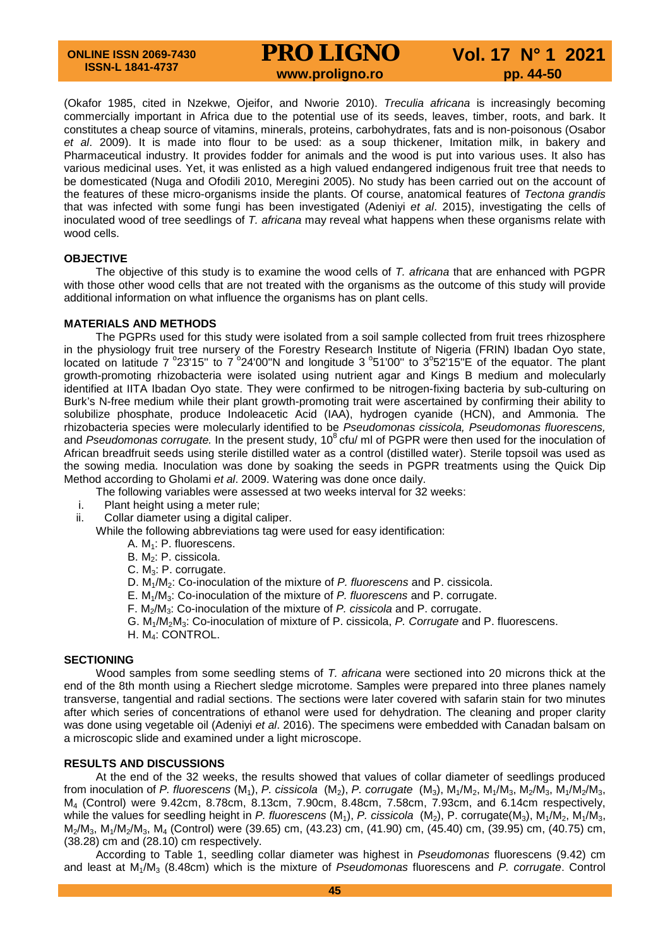### **PRO LIGNO** Vol. 17 N° 1 2021<br>www.proligno.ro pp. 44-50

(Okafor 1985, cited in Nzekwe, Ojeifor, and Nworie 2010). *Treculia africana* is increasingly becoming commercially important in Africa due to the potential use of its seeds, leaves, timber, roots, and bark. It constitutes a cheap source of vitamins, minerals, proteins, carbohydrates, fats and is non-poisonous (Osabor *et al*. 2009). It is made into flour to be used: as a soup thickener, Imitation milk, in bakery and Pharmaceutical industry. It provides fodder for animals and the wood is put into various uses. It also has various medicinal uses. Yet, it was enlisted as a high valued endangered indigenous fruit tree that needs to be domesticated (Nuga and Ofodili 2010, Meregini 2005). No study has been carried out on the account of the features of these micro-organisms inside the plants. Of course, anatomical features of *Tectona grandis* that was infected with some fungi has been investigated (Adeniyi *et al*. 2015), investigating the cells of inoculated wood of tree seedlings of *T. africana* may reveal what happens when these organisms relate with wood cells.

#### **OBJECTIVE**

The objective of this study is to examine the wood cells of *T. africana* that are enhanced with PGPR with those other wood cells that are not treated with the organisms as the outcome of this study will provide additional information on what influence the organisms has on plant cells.

#### **MATERIALS AND METHODS**

The PGPRs used for this study were isolated from a soil sample collected from fruit trees rhizosphere in the physiology fruit tree nursery of the Forestry Research Institute of Nigeria (FRIN) Ibadan Oyo state, located on latitude 7  $^{\circ}$ 23'15" to 7  $^{\circ}$ 24'00"N and longitude 3  $^{\circ}$ 51'00" to 3 $^{\circ}$ 52'15"E of the equator. The plant growth-promoting rhizobacteria were isolated using nutrient agar and Kings B medium and molecularly identified at IITA Ibadan Oyo state. They were confirmed to be nitrogen-fixing bacteria by sub-culturing on Burk's N-free medium while their plant growth-promoting trait were ascertained by confirming their ability to solubilize phosphate, produce Indoleacetic Acid (IAA), hydrogen cyanide (HCN), and Ammonia. The rhizobacteria species were molecularly identified to be *Pseudomonas cissicola, Pseudomonas fluorescens,*  and *Pseudomonas corrugate.* In the present study, 10<sup>8</sup> cfu/ ml of PGPR were then used for the inoculation of African breadfruit seeds using sterile distilled water as a control (distilled water). Sterile topsoil was used as the sowing media. Inoculation was done by soaking the seeds in PGPR treatments using the Quick Dip Method according to Gholami *et al*. 2009. Watering was done once daily.

- The following variables were assessed at two weeks interval for 32 weeks:
- i. Plant height using a meter rule;
- ii. Collar diameter using a digital caliper.

While the following abbreviations tag were used for easy identification:

- A.  $M_1$ : P. fluorescens.
- B. M<sub>2</sub>: P. cissicola.
- C. M3: P. corrugate.
- D. M1/M2: Co-inoculation of the mixture of *P. fluorescens* and P. cissicola.
- E. M1/M3: Co-inoculation of the mixture of *P. fluorescens* and P. corrugate.
- F. M2/M3: Co-inoculation of the mixture of *P. cissicola* and P. corrugate.
- G. M1/M2M3: Co-inoculation of mixture of P. cissicola, *P. Corrugate* and P. fluorescens.
- H. M4: CONTROL.

#### **SECTIONING**

Wood samples from some seedling stems of *T. africana* were sectioned into 20 microns thick at the end of the 8th month using a Riechert sledge microtome. Samples were prepared into three planes namely transverse, tangential and radial sections. The sections were later covered with safarin stain for two minutes after which series of concentrations of ethanol were used for dehydration. The cleaning and proper clarity was done using vegetable oil (Adeniyi *et al*. 2016). The specimens were embedded with Canadan balsam on a microscopic slide and examined under a light microscope.

#### **RESULTS AND DISCUSSIONS**

At the end of the 32 weeks, the results showed that values of collar diameter of seedlings produced from inoculation of *P. fluorescens* (M<sub>1</sub>), *P. cissicola* (M<sub>2</sub>), *P. corrugate* (M<sub>3</sub>), M<sub>1</sub>/M<sub>2</sub>, M<sub>1</sub>/M<sub>3</sub>, M<sub>2</sub>/M<sub>3</sub>, M<sub>1</sub>/M<sub>2</sub>/M<sub>3</sub>, M4 (Control) were 9.42cm, 8.78cm, 8.13cm, 7.90cm, 8.48cm, 7.58cm, 7.93cm, and 6.14cm respectively, while the values for seedling height in *P. fluorescens* (M<sub>1</sub>), *P. cissicola* (M<sub>2</sub>), P. corrugate(M<sub>3</sub>), M<sub>1</sub>/M<sub>2</sub>, M<sub>1</sub>/M<sub>3</sub>, M2/M3, M1/M2/M3, M4 (Control) were (39.65) cm, (43.23) cm, (41.90) cm, (45.40) cm, (39.95) cm, (40.75) cm, (38.28) cm and (28.10) cm respectively.

According to Table 1, seedling collar diameter was highest in *Pseudomonas* fluorescens (9.42) cm and least at M1/M3 (8.48cm) which is the mixture of *Pseudomonas* fluorescens and *P. corrugate*. Control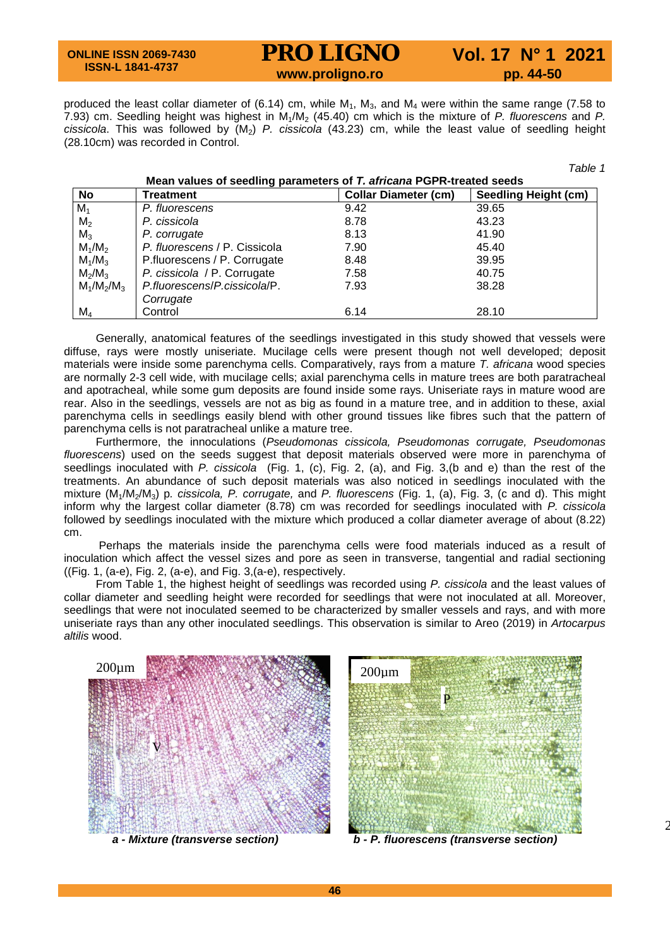**ONLINE ISSN 2069-7430 ISSN-L 1841-4737**

## **PRO LIGNO** Vol. 17 N° 1 2021

*Table 1*

2

produced the least collar diameter of (6.14) cm, while  $M_1$ ,  $M_3$ , and  $M_4$  were within the same range (7.58 to 7.93) cm. Seedling height was highest in M1/M2 (45.40) cm which is the mixture of *P. fluorescens* and *P. cissicola*. This was followed by (M2) *P. cissicola* (43.23) cm, while the least value of seedling height (28.10cm) was recorded in Control.

| Mean values of seedling parameters of T. africana PGPR-treated seeds |                               |                             |                             |
|----------------------------------------------------------------------|-------------------------------|-----------------------------|-----------------------------|
| No                                                                   | Treatment                     | <b>Collar Diameter (cm)</b> | <b>Seedling Height (cm)</b> |
| $M_1$                                                                | P. fluorescens                | 9.42                        | 39.65                       |
| M <sub>2</sub>                                                       | P. cissicola                  | 8.78                        | 43.23                       |
| $M_3$                                                                | P. corrugate                  | 8.13                        | 41.90                       |
| $M_1/M_2$                                                            | P. fluorescens / P. Cissicola | 7.90                        | 45.40                       |
| $M_1/M_3$                                                            | P.fluorescens / P. Corrugate  | 8.48                        | 39.95                       |
| $M_2/M_3$                                                            | P. cissicola / P. Corrugate   | 7.58                        | 40.75                       |
| $M_1/M_2/M_3$                                                        | P.fluorescens/P.cissicola/P.  | 7.93                        | 38.28                       |
|                                                                      | Corrugate                     |                             |                             |
| $M_4$                                                                | Control                       | 6.14                        | 28.10                       |

Generally, anatomical features of the seedlings investigated in this study showed that vessels were diffuse, rays were mostly uniseriate. Mucilage cells were present though not well developed; deposit materials were inside some parenchyma cells. Comparatively, rays from a mature *T. africana* wood species are normally 2-3 cell wide, with mucilage cells; axial parenchyma cells in mature trees are both paratracheal and apotracheal, while some gum deposits are found inside some rays. Uniseriate rays in mature wood are rear. Also in the seedlings, vessels are not as big as found in a mature tree, and in addition to these, axial parenchyma cells in seedlings easily blend with other ground tissues like fibres such that the pattern of parenchyma cells is not paratracheal unlike a mature tree.

Furthermore, the innoculations (*Pseudomonas cissicola, Pseudomonas corrugate, Pseudomonas fluorescens*) used on the seeds suggest that deposit materials observed were more in parenchyma of seedlings inoculated with *P. cissicola* (Fig. 1, (c), Fig. 2, (a), and Fig. 3,(b and e) than the rest of the treatments. An abundance of such deposit materials was also noticed in seedlings inoculated with the mixture (M1/M2/M3) p*. cissicola, P. corrugate,* and *P. fluorescens* (Fig. 1, (a), Fig. 3, (c and d). This might inform why the largest collar diameter (8.78) cm was recorded for seedlings inoculated with *P. cissicola*  followed by seedlings inoculated with the mixture which produced a collar diameter average of about (8.22) cm.

Perhaps the materials inside the parenchyma cells were food materials induced as a result of inoculation which affect the vessel sizes and pore as seen in transverse, tangential and radial sectioning ((Fig. 1, (a-e), Fig. 2, (a-e), and Fig. 3,(a-e), respectively.

From Table 1, the highest height of seedlings was recorded using *P. cissicola* and the least values of collar diameter and seedling height were recorded for seedlings that were not inoculated at all. Moreover, seedlings that were not inoculated seemed to be characterized by smaller vessels and rays, and with more uniseriate rays than any other inoculated seedlings. This observation is similar to Areo (2019) in *Artocarpus altilis* wood.





*<sup>a</sup> - Mixture (transverse section) b - P. fluorescens (transverse section)*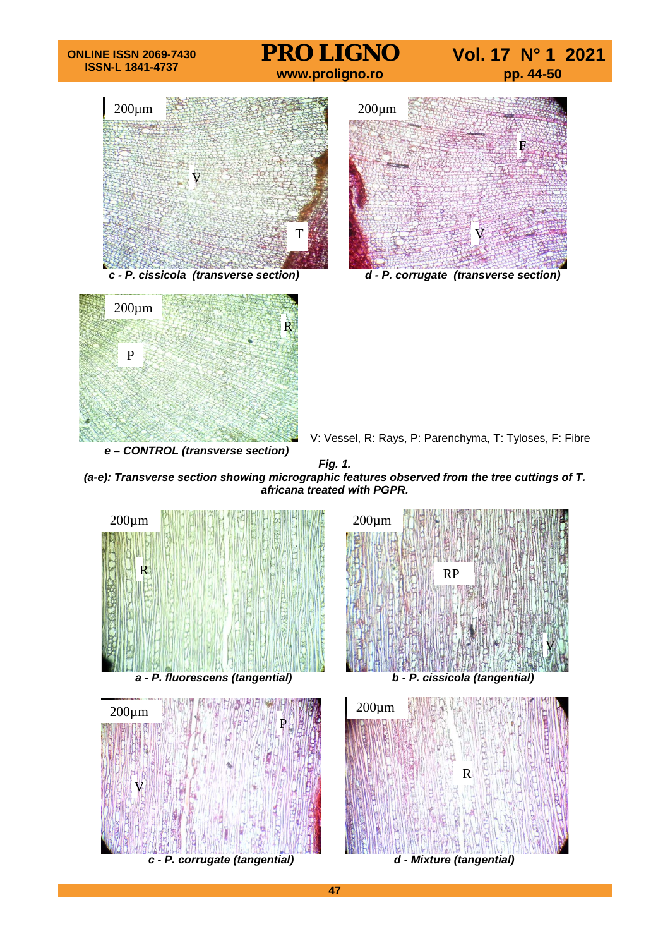

*(a-e): Transverse section showing micrographic features observed from the tree cuttings of T. africana treated with PGPR.*



**47**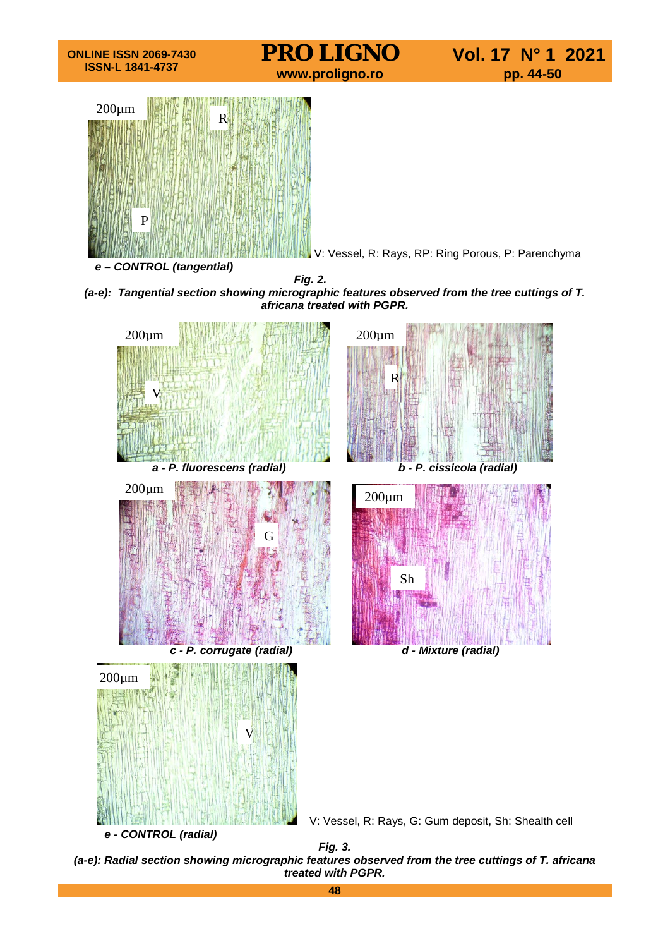

*(a-e): Radial section showing micrographic features observed from the tree cuttings of T. africana treated with PGPR.*

**48**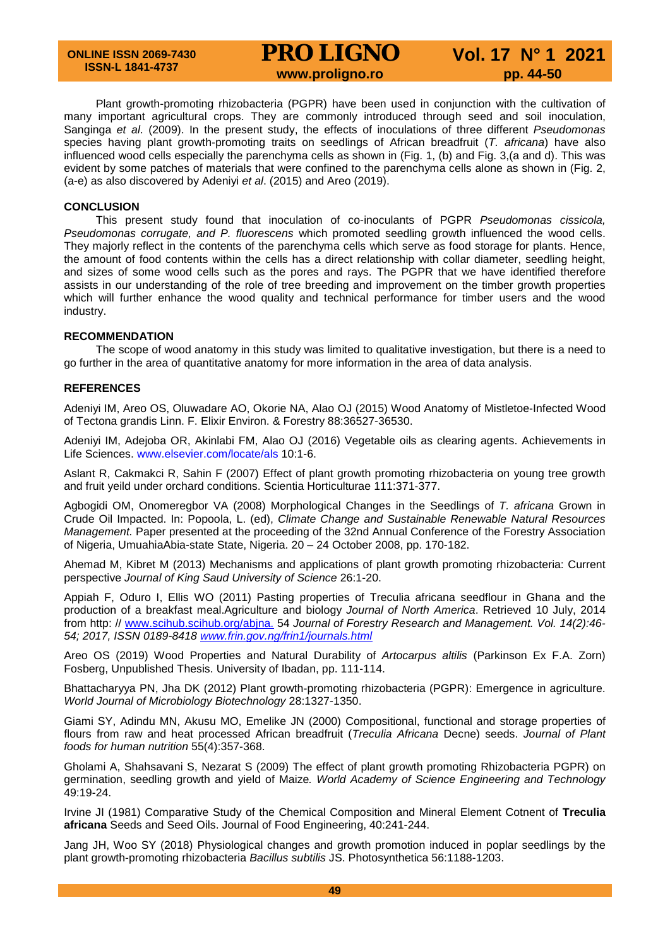# **PRO LIGNO** Vol. 17 N° 1 2021<br>www.proligno.ro pp. 44-50

Plant growth-promoting rhizobacteria (PGPR) have been used in conjunction with the cultivation of many important agricultural crops. They are commonly introduced through seed and soil inoculation, Sanginga *et al*. (2009). In the present study, the effects of inoculations of three different *Pseudomonas* species having plant growth-promoting traits on seedlings of African breadfruit (*T. africana*) have also influenced wood cells especially the parenchyma cells as shown in (Fig. 1, (b) and Fig. 3,(a and d). This was evident by some patches of materials that were confined to the parenchyma cells alone as shown in (Fig. 2, (a-e) as also discovered by Adeniyi *et al*. (2015) and Areo (2019).

#### **CONCLUSION**

This present study found that inoculation of co-inoculants of PGPR *Pseudomonas cissicola, Pseudomonas corrugate, and P. fluorescens* which promoted seedling growth influenced the wood cells. They majorly reflect in the contents of the parenchyma cells which serve as food storage for plants. Hence, the amount of food contents within the cells has a direct relationship with collar diameter, seedling height, and sizes of some wood cells such as the pores and rays. The PGPR that we have identified therefore assists in our understanding of the role of tree breeding and improvement on the timber growth properties which will further enhance the wood quality and technical performance for timber users and the wood industry.

#### **RECOMMENDATION**

The scope of wood anatomy in this study was limited to qualitative investigation, but there is a need to go further in the area of quantitative anatomy for more information in the area of data analysis.

#### **REFERENCES**

Adeniyi IM, Areo OS, Oluwadare AO, Okorie NA, Alao OJ (2015) Wood Anatomy of Mistletoe-Infected Wood of Tectona grandis Linn. F. Elixir Environ. & Forestry 88:36527-36530.

Adeniyi IM, Adejoba OR, Akinlabi FM, Alao OJ (2016) Vegetable oils as clearing agents. Achievements in Life Sciences. www.elsevier.com/locate/als 10:1-6.

Aslant R, Cakmakci R, Sahin F (2007) Effect of plant growth promoting rhizobacteria on young tree growth and fruit yeild under orchard conditions. Scientia Horticulturae 111:371-377.

Agbogidi OM, Onomeregbor VA (2008) Morphological Changes in the Seedlings of *T. africana* Grown in Crude Oil Impacted. In: Popoola, L. (ed), *Climate Change and Sustainable Renewable Natural Resources Management.* Paper presented at the proceeding of the 32nd Annual Conference of the Forestry Association of Nigeria, UmuahiaAbia-state State, Nigeria. 20 – 24 October 2008, pp. 170-182.

Ahemad M, Kibret M (2013) Mechanisms and applications of plant growth promoting rhizobacteria: Current perspective *Journal of King Saud University of Science* 26:1-20.

Appiah F, Oduro I, Ellis WO (2011) Pasting properties of Treculia africana seedflour in Ghana and the production of a breakfast meal.Agriculture and biology *Journal of North America*. Retrieved 10 July, 2014 from http: // [www.scihub.scihub.org/abjna.](http://www.scihub.scihub.org/abjna.) 54 *Journal of Forestry Research and Management. Vol. 14(2):46- 54; 2017, ISSN 0189-8418 [www.frin.gov.ng/frin1/journals.html](http://www.frin.gov.ng/frin1/journals.html)*

Areo OS (2019) Wood Properties and Natural Durability of *Artocarpus altilis* (Parkinson Ex F.A. Zorn) Fosberg, Unpublished Thesis. University of Ibadan, pp. 111-114.

Bhattacharyya PN, Jha DK (2012) Plant growth-promoting rhizobacteria (PGPR): Emergence in agriculture. *World Journal of Microbiology Biotechnology* 28:1327-1350.

Giami SY, Adindu MN, Akusu MO, Emelike JN (2000) Compositional, functional and storage properties of flours from raw and heat processed African breadfruit (*Treculia Africana* Decne) seeds. *Journal of Plant foods for human nutrition* 55(4):357-368.

Gholami A, Shahsavani S, Nezarat S (2009) The effect of plant growth promoting Rhizobacteria PGPR) on germination, seedling growth and yield of Maize*. World Academy of Science Engineering and Technology*  49:19-24.

Irvine JI (1981) Comparative Study of the Chemical Composition and Mineral Element Cotnent of **Treculia africana** Seeds and Seed Oils. Journal of Food Engineering, 40:241-244.

Jang JH, Woo SY (2018) Physiological changes and growth promotion induced in poplar seedlings by the plant growth-promoting rhizobacteria *Bacillus subtilis* JS. Photosynthetica 56:1188-1203.